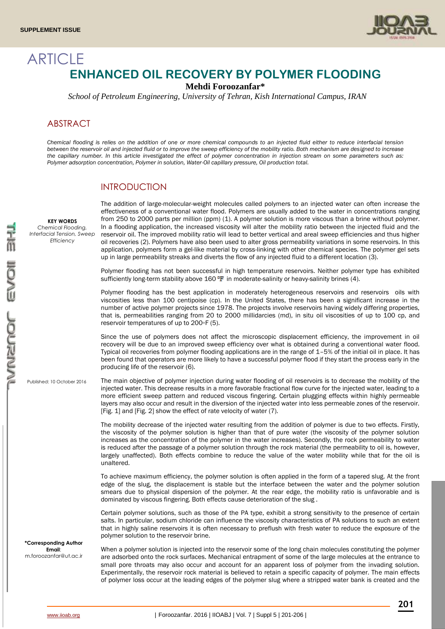

# **ARTICLE ENHANCED OIL RECOVERY BY POLYMER FLOODING**

**Mehdi Foroozanfar\***

*School of Petroleum Engineering, University of Tehran, Kish International Campus, IRAN*

# ABSTRACT

**KEY WORDS** *Chemical Flooding,* 

*Efficiency*

*Chemical flooding is relies on the addition of one or more chemical compounds to an injected fluid either to reduce interfacial tension between the reservoir oil and injected fluid or to improve the sweep efficiency of the mobility ratio. Both mechanism are designed to increase the capillary number. In this article investigated the effect of polymer concentration in injection stream on some parameters such as: Polymer adsorption concentration, Polymer in solution, Water-Oil capillary pressure, Oil production total.*

# INTRODUCTION

*Interfacial Tension, Sweep*  The addition of large-molecular-weight molecules called polymers to an injected water can often increase the effectiveness of a conventional water flood. Polymers are usually added to the water in concentrations ranging from 250 to 2000 parts per million (ppm) (1). A polymer solution is more viscous than a brine without polymer. In a flooding application, the increased viscosity will alter the mobility ratio between the injected fluid and the reservoir oil. The improved mobility ratio will lead to better vertical and areal sweep efficiencies and thus higher oil recoveries (2). Polymers have also been used to alter gross permeability variations in some reservoirs. In this application, polymers form a gel-like material by cross-linking with other chemical species. The polymer gel sets up in large permeability streaks and diverts the flow of any injected fluid to a different location (3).

> Polymer flooding has not been successful in high temperature reservoirs. Neither polymer type has exhibited sufficiently long-term stability above 160  $\mathbb{F}$  in moderate-salinity or heavy-salinity brines (4).

> Polymer flooding has the best application in moderately heterogeneous reservoirs and reservoirs oils with viscosities less than 100 centipoise (cp). In the United States, there has been a significant increase in the number of active polymer projects since 1978. The projects involve reservoirs having widely differing properties, that is, permeabilities ranging from 20 to 2000 millidarcies (md), in situ oil viscosities of up to 100 cp, and reservoir temperatures of up to 200◦F (5).

> Since the use of polymers does not affect the microscopic displacement efficiency, the improvement in oil recovery will be due to an improved sweep efficiency over what is obtained during a conventional water flood. Typical oil recoveries from polymer flooding applications are in the range of 1–5% of the initial oil in place. It has been found that operators are more likely to have a successful polymer flood if they start the process early in the producing life of the reservoir (6).

Published: 10 October 2016

The main objective of polymer injection during water flooding of oil reservoirs is to decrease the mobility of the injected water. This decrease results in a more favorable fractional flow curve for the injected water, leading to a more efficient sweep pattern and reduced viscous fingering. Certain plugging effects within highly permeable layers may also occur and result in the diversion of the injected water into less permeable zones of the reservoir. [Fig. 1] and [Fig. 2] show the effect of rate velocity of water (7).

The mobility decrease of the injected water resulting from the addition of polymer is due to two effects. Firstly, the viscosity of the polymer solution is higher than that of pure water (the viscosity of the polymer solution increases as the concentration of the polymer in the water increases). Secondly, the rock permeability to water is reduced after the passage of a polymer solution through the rock material (the permeability to oil is, however, largely unaffected). Both effects combine to reduce the value of the water mobility while that for the oil is unaltered.

To achieve maximum efficiency, the polymer solution is often applied in the form of a tapered slug. At the front edge of the slug, the displacement is stable but the interface between the water and the polymer solution smears due to physical dispersion of the polymer. At the rear edge, the mobility ratio is unfavorable and is dominated by viscous fingering. Both effects cause deterioration of the slug .

Certain polymer solutions, such as those of the PA type, exhibit a strong sensitivity to the presence of certain salts. In particular, sodium chloride can influence the viscosity characteristics of PA solutions to such an extent that in highly saline reservoirs it is often necessary to preflush with fresh water to reduce the exposure of the polymer solution to the reservoir brine.

When a polymer solution is injected into the reservoir some of the long chain molecules constituting the polymer are adsorbed onto the rock surfaces. Mechanical entrapment of some of the large molecules at the entrance to small pore throats may also occur and account for an apparent loss of polymer from the invading solution. Experimentally, the reservoir rock material is believed to retain a specific capacity of polymer. The main effects of polymer loss occur at the leading edges of the polymer slug where a stripped water bank is created and the

**\*Corresponding Author Email**: m.foroozanfar@ut.ac.ir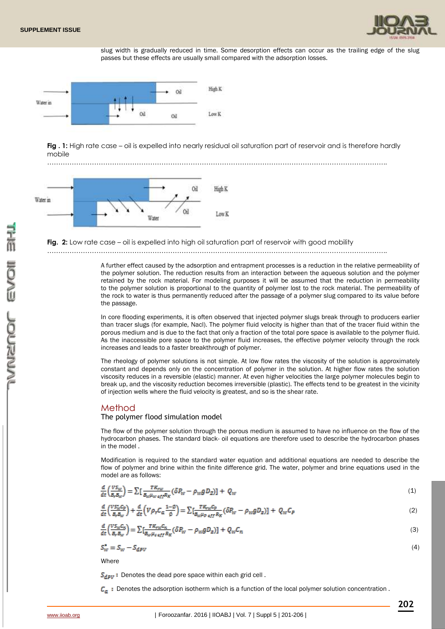

slug width is gradually reduced in time. Some desorption effects can occur as the trailing edge of the slug passes but these effects are usually small compared with the adsorption losses.



**Fig . 1:** High rate case – oil is expelled into nearly residual oil saturation part of reservoir and is therefore hardly mobile





#### **Fig. 2:** Low rate case – oil is expelled into high oil saturation part of reservoir with good mobility

……………………………………………………………………………………………………………………………………..

A further effect caused by the adsorption and entrapment processes is a reduction in the relative permeability of the polymer solution. The reduction results from an interaction between the aqueous solution and the polymer retained by the rock material. For modeling purposes it will be assumed that the reduction in permeability to the polymer solution is proportional to the quantity of polymer lost to the rock material. The permeability of the rock to water is thus permanently reduced after the passage of a polymer slug compared to its value before the passage.

In core flooding experiments, it is often observed that injected polymer slugs break through to producers earlier than tracer slugs (for example, Nacl). The polymer fluid velocity is higher than that of the tracer fluid within the porous medium and is due to the fact that only a fraction of the total pore space is available to the polymer fluid. As the inaccessible pore space to the polymer fluid increases, the effective polymer velocity through the rock increases and leads to a faster breakthrough of polymer.

The rheology of polymer solutions is not simple. At low flow rates the viscosity of the solution is approximately constant and depends only on the concentration of polymer in the solution. At higher flow rates the solution viscosity reduces in a reversible (elastic) manner. At even higher velocities the large polymer molecules begin to break up, and the viscosity reduction becomes irreversible (plastic). The effects tend to be greatest in the vicinity of injection wells where the fluid velocity is greatest, and so is the shear rate.

### Method

#### The polymer flood simulation model

The flow of the polymer solution through the porous medium is assumed to have no influence on the flow of the hydrocarbon phases. The standard black- oil equations are therefore used to describe the hydrocarbon phases in the model .

Modification is required to the standard water equation and additional equations are needed to describe the flow of polymer and brine within the finite difference grid. The water, polymer and brine equations used in the model are as follows:

$$
\frac{d}{dt}\left(\frac{VS_{w}}{B_{r}B_{w}}\right) = \sum \left[\frac{TK_{rw}}{B_{w}\mu_{w}}\frac{ef_{rw}}{ef_{r}R_{R}}(\delta P_{w} - \rho_{w}g D_{Z})\right] + Q_{w}
$$
\n(1)

$$
\frac{d}{dt}\left(\frac{VS_W^*C_p}{B_pB_W}\right) + \frac{d}{dt}\left(V\rho_rC_a\frac{1-\emptyset}{\emptyset}\right) = \sum \left[\frac{TK_{rw}C_p}{B_w\mu_p\frac{df}{R_K}}(\delta P_W - \rho_WgD_Z)\right] + Q_WC_p\tag{2}
$$

$$
\frac{d}{dt} \left( \frac{VS_W C_n}{B_F B_W} \right) = \sum \left[ \frac{TK_{TW} C_n}{B_W \mu_{s \, df} R_K} (\delta P_W - \rho_W g D_Z) \right] + Q_W C_n \tag{3}
$$

$$
S_W^* = S_W - S_{dPV} \tag{4}
$$

**Where** 

 $S_{dav}$ : Denotes the dead pore space within each grid cell.

 $C_{n}$ : Denotes the adsorption isotherm which is a function of the local polymer solution concentration.

**202**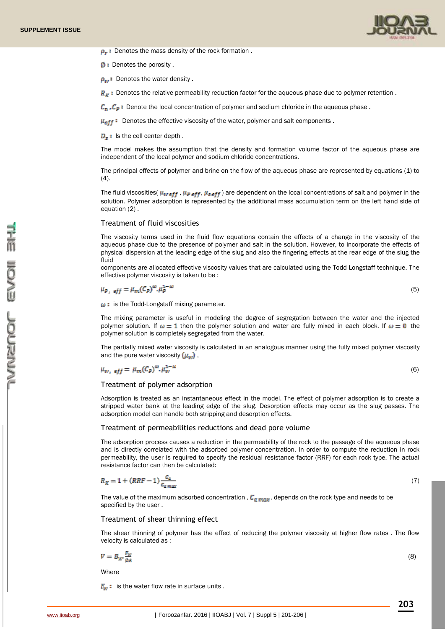

 $\rho_r$ : Denotes the mass density of the rock formation.

 $\emptyset$  : Denotes the porosity.

 $\rho_w$ : Denotes the water density.

 $R_K$ : Denotes the relative permeability reduction factor for the aqueous phase due to polymer retention.

 $C_n$ ,  $C_p$ : Denote the local concentration of polymer and sodium chloride in the aqueous phase.

 $\mu_{\text{eff}}$ : Denotes the effective viscosity of the water, polymer and salt components.

 $D<sub>x</sub>$ : Is the cell center depth.

The model makes the assumption that the density and formation volume factor of the aqueous phase are independent of the local polymer and sodium chloride concentrations.

The principal effects of polymer and brine on the flow of the aqueous phase are represented by equations (1) to  $(4)$ .

The fluid viscosities(  $\mu_w$  eff,  $\mu_p$  eff,  $\mu_s$  eff) are dependent on the local concentrations of salt and polymer in the solution. Polymer adsorption is represented by the additional mass accumulation term on the left hand side of equation (2) .

#### Treatment of fluid viscosities

The viscosity terms used in the fluid flow equations contain the effects of a change in the viscosity of the aqueous phase due to the presence of polymer and salt in the solution. However, to incorporate the effects of physical dispersion at the leading edge of the slug and also the fingering effects at the rear edge of the slug the fluid

components are allocated effective viscosity values that are calculated using the Todd Longstaff technique. The effective polymer viscosity is taken to be :

 $\mu_{P,eff} = \mu_m (C_P)^{\omega} \cdot \mu_P^{1-\omega}$ 

(5)

 $\omega$ : is the Todd-Longstaff mixing parameter.

The mixing parameter is useful in modeling the degree of segregation between the water and the injected polymer solution. If  $\omega = 1$  then the polymer solution and water are fully mixed in each block. If  $\omega = 0$  the polymer solution is completely segregated from the water.

The partially mixed water viscosity is calculated in an analogous manner using the fully mixed polymer viscosity and the pure water viscosity  $(\mu_w)$ ,

 $(6)$ 

## Treatment of polymer adsorption

Adsorption is treated as an instantaneous effect in the model. The effect of polymer adsorption is to create a stripped water bank at the leading edge of the slug. Desorption effects may occur as the slug passes. The adsorption model can handle both stripping and desorption effects.

#### Treatment of permeabilities reductions and dead pore volume

The adsorption process causes a reduction in the permeability of the rock to the passage of the aqueous phase and is directly correlated with the adsorbed polymer concentration. In order to compute the reduction in rock permeability, the user is required to specify the residual resistance factor (RRF) for each rock type. The actual resistance factor can then be calculated:

$$
R_K = 1 + (RRF - 1) \frac{c_a}{c_{a\ max}}
$$

(7)

The value of the maximum adsorbed concentration ,  $C_{a max}$ , depends on the rock type and needs to be specified by the user .

#### Treatment of shear thinning effect

The shear thinning of polymer has the effect of reducing the polymer viscosity at higher flow rates . The flow velocity is calculated as :

$$
V = B_{W'} \frac{F_W}{\phi A} \tag{8}
$$

**Where** 

 $F_w$ : is the water flow rate in surface units.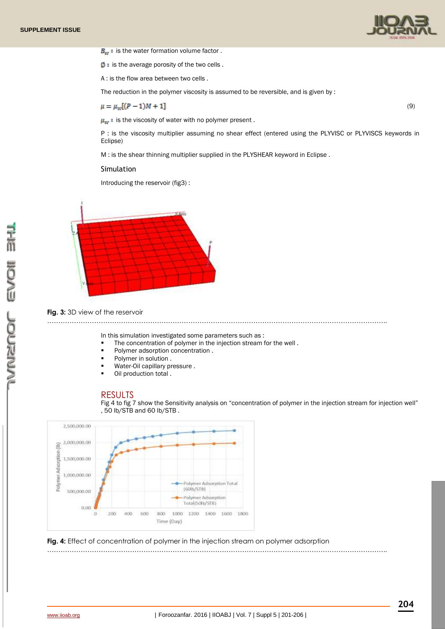



 $\emptyset$  : is the average porosity of the two cells.

A : is the flow area between two cells .

The reduction in the polymer viscosity is assumed to be reversible, and is given by :

 $\mu = \mu_w[(P-1)M + 1]$ 

 $\mu_w$  : is the viscosity of water with no polymer present.

P : is the viscosity multiplier assuming no shear effect (entered using the PLYVISC or PLYVISCS keywords in Eclipse)

(9)

M : is the shear thinning multiplier supplied in the PLYSHEAR keyword in Eclipse .

#### Simulation

Introducing the reservoir (fig3) :



#### **Fig. 3:** 3D view of the reservoir

……………………………………………………………………………………………………………………………………..

In this simulation investigated some parameters such as :

- The concentration of polymer in the injection stream for the well .
- Polymer adsorption concentration .
- Polymer in solution .
- Water-Oil capillary pressure .
- Oil production total .

# RESULTS

Fig 4 to fig 7 show the Sensitivity analysis on "concentration of polymer in the injection stream for injection well" , 50 lb/STB and 60 lb/STB .



**Fig. 4:** Effect of concentration of polymer in the injection stream on polymer adsorption ……………………………………………………………………………………………………………………………………..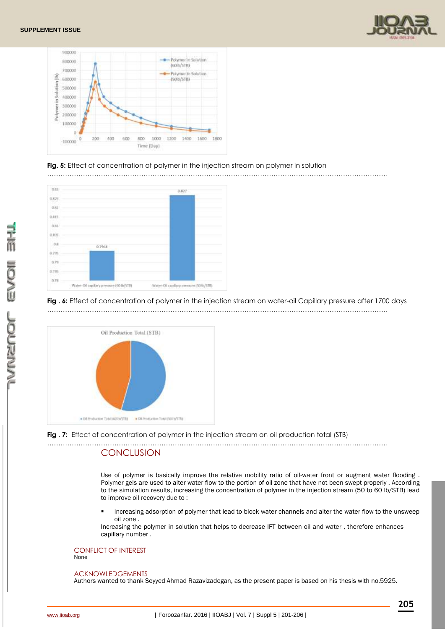



### **Fig. 5:** Effect of concentration of polymer in the injection stream on polymer in solution



#### **Fig . 6:** Effect of concentration of polymer in the injection stream on water-oil Capillary pressure after 1700 days ……………………………………………………………………………………………………………………………………..





#### ……………………………………………………………………………………………………………………………………..

# **CONCLUSION**

Use of polymer is basically improve the relative mobility ratio of oil-water front or augment water flooding . Polymer gels are used to alter water flow to the portion of oil zone that have not been swept properly . According to the simulation results, increasing the concentration of polymer in the injection stream (50 to 60 lb/STB) lead to improve oil recovery due to :

 Increasing adsorption of polymer that lead to block water channels and alter the water flow to the unsweep oil zone .

Increasing the polymer in solution that helps to decrease IFT between oil and water , therefore enhances capillary number .

### CONFLICT OF INTEREST

None

#### ACKNOWLEDGEMENTS

Authors wanted to thank Seyyed Ahmad Razavizadegan, as the present paper is based on his thesis with no.5925.